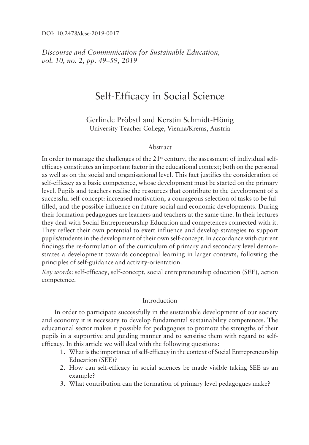*Discourse and Communication for Sustainable Education, vol.* 10, no. 2, pp. 49–59, 2019

# Self-Efficacy in Social Science

Gerlinde Pröbstl and Kerstin Schmidt-Hönig University Teacher College, Vienna/Krems, Austria

# Abstract

In order to manage the challenges of the 21<sup>st</sup> century, the assessment of individual selfefficacy constitutes an important factor in the educational context; both on the personal as well as on the social and organisational level. This fact justifies the consideration of self-efficacy as a basic competence, whose development must be started on the primary level. Pupils and teachers realise the resources that contribute to the development of a successful self-concept: increased motivation, a courageous selection of tasks to be fulfilled, and the possible influence on future social and economic developments. During their formation pedagogues are learners and teachers at the same time. In their lectures they deal with Social Entrepreneurship Education and competences connected with it. They reflect their own potential to exert influence and develop strategies to support pupils/students in the development of their own self-concept. In accordance with current findings the re-formulation of the curriculum of primary and secondary level demonstrates a development towards conceptual learning in larger contexts, following the principles of self-guidance and activity-orientation.

*Key words*: self-efficacy, self-concept, social entrepreneurship education (SEE), action competence.

# Introduction

In order to participate successfully in the sustainable development of our society and economy it is necessary to develop fundamental sustainability competences. The educational sector makes it possible for pedagogues to promote the strengths of their pupils in a supportive and guiding manner and to sensitise them with regard to selfefficacy. In this article we will deal with the following questions:

- 1. What is the importance of self-efficacy in the context of Social Entrepreneurship Education (SEE)?
- 2. How can self-efficacy in social sciences be made visible taking SEE as an example?
- 3. What contribution can the formation of primary level pedagogues make?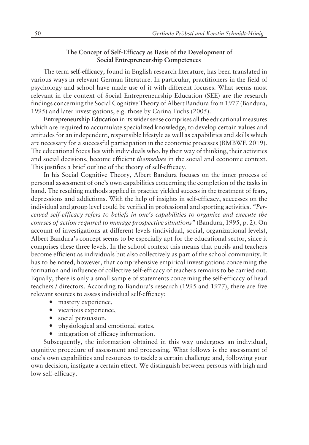## **The Concept of Self-Efficacy as Basis of the Development of Social Entrepreneurship Competences**

The term **self-efficacy,** found in English research literature, has been translated in various ways in relevant German literature. In particular, practitioners in the field of psychology and school have made use of it with different focuses. What seems most relevant in the context of Social Entrepreneurship Education (SEE) are the research findings concerning the Social Cognitive Theory of Albert Bandura from 1977 (Bandura, 1995) and later investigations, e.g. those by Carina Fuchs (2005).

**Entrepreneurship Education** in its wider sense comprises all the educational measures which are required to accumulate specialized knowledge, to develop certain values and attitudes for an independent, responsible lifestyle as well as capabilities and skills which are necessary for a successful participation in the economic processes (BMBWF, 2019). The educational focus lies with individuals who, by their way of thinking, their activities and social decisions, become efficient *themselves* in the social and economic context. This justifies a brief outline of the theory of self-efficacy.

In his Social Cognitive Theory, Albert Bandura focuses on the inner process of personal assessment of one's own capabilities concerning the completion of the tasks in hand. The resulting methods applied in practice yielded success in the treatment of fears, depressions and addictions. With the help of insights in self-efficacy, successes on the individual and group level could be verified in professional and sporting activities. *"Perceived self-efficacy refers to beliefs in oneís capabilities to organize and execute the courses of action required to manage prospective situationsî* (Bandura, 1995, p. 2). On account of investigations at different levels (individual, social, organizational levels), Albert Banduraís concept seems to be especially apt for the educational sector, since it comprises these three levels. In the school context this means that pupils and teachers become efficient as individuals but also collectively as part of the school community. It has to be noted, however, that comprehensive empirical investigations concerning the formation and influence of collective self-efficacy of teachers remains to be carried out. Equally, there is only a small sample of statements concerning the self-efficacy of head teachers / directors. According to Banduraís research (1995 and 1977), there are five relevant sources to assess individual self-efficacy:

- ó mastery experience,
- ó vicarious experience,
- ó social persuasion,
- physiological and emotional states,
- $\bullet$  integration of efficacy information.

Subsequently, the information obtained in this way undergoes an individual, cognitive procedure of assessment and processing. What follows is the assessment of one's own capabilities and resources to tackle a certain challenge and, following your own decision, instigate a certain effect. We distinguish between persons with high and low self-efficacy.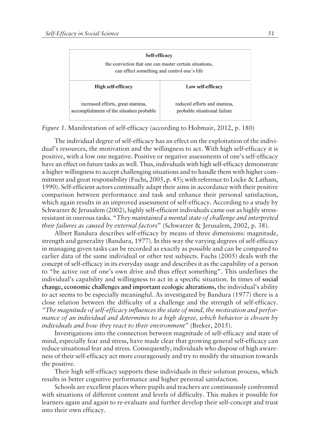|  | Self-efficacy<br>the conviction that one can master certain situations,<br>can effect something and control one's life |                                                              |
|--|------------------------------------------------------------------------------------------------------------------------|--------------------------------------------------------------|
|  |                                                                                                                        |                                                              |
|  | <b>High self-efficacy</b>                                                                                              | Low self-efficacy                                            |
|  | increased efforts, great stamina,<br>accomplishment of the situation probable                                          | reduced efforts and stamina,<br>probable situational failure |

*Figure 1*. Manifestation of self-efficacy (according to Hobmair, 2012, p. 180)

The individual degree of self-efficacy has an effect on the exploitation of the individual's resources, the motivation and the willingness to act. With high self-efficacy it is positive, with a low one negative. Positive or negative assessments of one's self-efficacy have an effect on future tasks as well. Thus, individuals with high self-efficacy demonstrate a higher willingness to accept challenging situations and to handle them with higher commitment and great responsibility (Fuchs, 2005, p. 45); with reference to Locke & Latham, 1990). Self-efficient actors continually adapt their aims in accordance with their positive comparison between performance and task and enhance their personal satisfaction, which again results in an improved assessment of self-efficacy. According to a study by Schwarzer & Jerusalem (2002), highly self-efficient individuals came out as highly stressresistant in onerous tasks. ì*They maintained a mental state of challenge and interpreted their failures as caused by external factors*î (Schwarzer & Jerusalem, 2002, p. 38).

Albert Bandura describes self-efficacy by means of three dimensions: magnitude, strength and generality (Bandura, 1977). In this way the varying degrees of self-efficacy in managing given tasks can be recorded as exactly as possible and can be compared to earlier data of the same individual or other test subjects. Fuchs (2005) deals with the concept of self-efficacy in its everyday usage and describes it as the capability of a person to "be active out of one's own drive and thus effect something". This underlines the individual's capability and willingness to act in a specific situation. In times of **social change, economic challenges and important ecologic alterations, the individual's ability** to act seems to be especially meaningful. As investigated by Bandura (1977) there is a close relation between the difficulty of a challenge and the strength of self-efficacy. *ìThe magnitude of self-efficacy influences the state of mind, the motivation and performance of an individual and determines to a high degree, which behavior is chosen by individuals and how they react to their environment*" (Breker, 2015).

Investigations into the connection between magnitude of self-efficacy and state of mind, especially fear and stress, have made clear that growing general self-efficacy can reduce situational fear and stress. Consequently, individuals who dispose of high awareness of their self-efficacy act more courageously and try to modify the situation towards the positive.

Their high self-efficacy supports these individuals in their solution process, which results in better cognitive performance and higher personal satisfaction.

Schools are excellent places where pupils and teachers are continuously confronted with situations of different content and levels of difficulty. This makes it possible for learners again and again to re-evaluate and further develop their self-concept and trust into their own efficacy.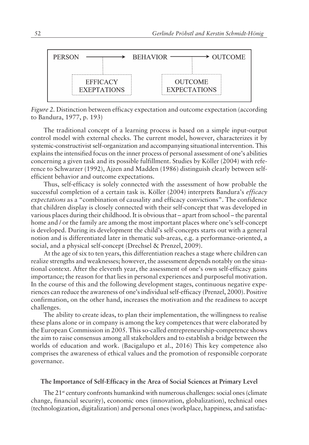

*Figure 2.* Distinction between efficacy expectation and outcome expectation (according to Bandura, 1977, p. 193)

The traditional concept of a learning process is based on a simple input-output control model with external checks. The current model, however, characterizes it by systemic-constructivist self-organization and accompanying situational intervention. This explains the intensified focus on the inner process of personal assessment of one's abilities concerning a given task and its possible fulfillment. Studies by Köller (2004) with reference to Schwarzer (1992), Ajzen and Madden (1986) distinguish clearly between selfefficient behavior and outcome expectations.

Thus, self-efficacy is solely connected with the assessment of how probable the successful completion of a certain task is. Köller (2004) interprets Bandura's *efficacy expectations* as a "combination of causality and efficacy convictions". The confidence that children display is closely connected with their self-concept that was developed in various places during their childhood. It is obvious that  $-\text{ apart}$  from school  $-\text{ the parental}$ home and / or the family are among the most important places where one's self-concept is developed. During its development the child's self-concepts starts out with a general notion and is differentiated later in thematic sub-areas, e.g. a performance-oriented, a social, and a physical self-concept (Drechsel & Prenzel, 2009).

At the age of six to ten years, this differentiation reaches a stage where children can realize strengths and weaknesses; however, the assessment depends notably on the situational context. After the eleventh year, the assessment of one's own self-efficacy gains importance; the reason for that lies in personal experiences and purposeful motivation. In the course of this and the following development stages, continuous negative experiences can reduce the awareness of one's individual self-efficacy (Prenzel, 2000). Positive confirmation, on the other hand, increases the motivation and the readiness to accept challenges.

The ability to create ideas, to plan their implementation, the willingness to realise these plans alone or in company is among the key competences that were elaborated by the European Commission in 2005. This so-called entrepreneurship-competence shows the aim to raise consensus among all stakeholders and to establish a bridge between the worlds of education and work. (Bacigalupo et al., 2016) This key competence also comprises the awareness of ethical values and the promotion of responsible corporate governance.

#### **The Importance of Self-Efficacy in the Area of Social Sciences at Primary Level**

The  $21<sup>st</sup>$  century confronts humankind with numerous challenges: social ones (climate change, financial security), economic ones (innovation, globalization), technical ones (technologization, digitalization) and personal ones (workplace, happiness, and satisfac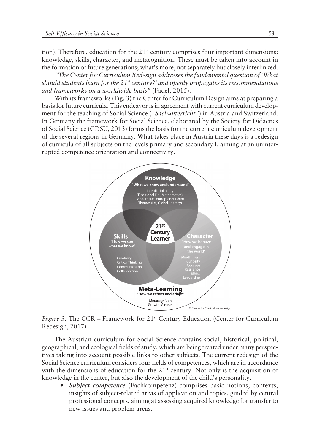tion). Therefore, education for the  $21<sup>st</sup>$  century comprises four important dimensions: knowledge, skills, character, and metacognition. These must be taken into account in the formation of future generations; what's more, not separately but closely interlinked.

*ìThe Center for Curriculum Redesign addresses the fundamental question of ëWhat should students learn for the 21st century?í and openly propagates its recommendations* and frameworks on a worldwide basis" (Fadel, 2015).

With its frameworks (Fig. 3) the Center for Curriculum Design aims at preparing a basis for future curricula. This endeavor is in agreement with current curriculum development for the teaching of Social Science (*"Sachunterricht"*) in Austria and Switzerland. In Germany the framework for Social Science, elaborated by the Society for Didactics of Social Science (GDSU, 2013) forms the basis for the current curriculum development of the several regions in Germany. What takes place in Austria these days is a redesign of curricula of all subjects on the levels primary and secondary I, aiming at an uninterrupted competence orientation and connectivity.



*Figure 3.* The CCR – Framework for 21<sup>st</sup> Century Education (Center for Curriculum Redesign, 2017)

The Austrian curriculum for Social Science contains social, historical, political, geographical, and ecological fields of study, which are being treated under many perspectives taking into account possible links to other subjects. The current redesign of the Social Science curriculum considers four fields of competences, which are in accordance with the dimensions of education for the 21<sup>st</sup> century. Not only is the acquisition of knowledge in the center, but also the development of the child's personality.

**Subject competence** (Fachkompetenz) comprises basic notions, contexts, insights of subject-related areas of application and topics, guided by central professional concepts, aiming at assessing acquired knowledge for transfer to new issues and problem areas.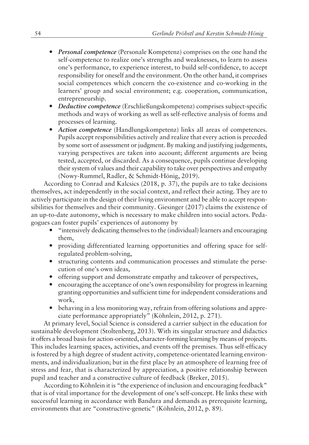- ó *Personal competence* (Personale Kompetenz) comprises on the one hand the self-competence to realize one's strengths and weaknesses, to learn to assess one's performance, to experience interest, to build self-confidence, to accept responsibility for oneself and the environment. On the other hand, it comprises social competences which concern the co-existence and co-working in the learners' group and social environment; e.g. cooperation, communication, entrepreneurship.
- ó *Deductive competence* (Erschlieflungskompetenz) comprises subject-specific methods and ways of working as well as self-reflective analysis of forms and processes of learning.
- ó *Action competence* (Handlungskompetenz) links all areas of competences. Pupils accept responsibilities actively and realize that every action is preceded by some sort of assessment or judgment. By making and justifying judgements, varying perspectives are taken into account; different arguments are being tested, accepted, or discarded. As a consequence, pupils continue developing their system of values and their capability to take over perspectives and empathy (Nowy-Rummel, Radler, & Schmidt-Hönig, 2019).

According to Conrad and Kalcsics (2018, p. 37), the pupils are to take decisions themselves, act independently in the social context, and reflect their acting. They are to actively participate in the design of their living environment and be able to accept responsibilities for themselves and their community. Giesinger (2017) claims the existence of an up-to-date autonomy, which is necessary to make children into social actors. Pedagogues can foster pupils' experiences of autonomy by

- "intensively dedicating themselves to the (individual) learners and encouraging them,
- ó providing differentiated learning opportunities and offering space for selfregulated problem-solving,
- ó structuring contents and communication processes and stimulate the persecution of one's own ideas,
- ó offering support and demonstrate empathy and takeover of perspectives,
- encouraging the acceptance of one's own responsibility for progress in learning granting opportunities and sufficient time for independent considerations and work,
- behaving in a less monitoring way, refrain from offering solutions and appreciate performance appropriately" (Köhnlein, 2012, p. 271).

At primary level, Social Science is considered a carrier subject in the education for sustainable development (Stoltenberg, 2013). With its singular structure and didactics it offers a broad basis for action-oriented, character-forming learning by means of projects. This includes learning spaces, activities, and events off the premises. Thus self-efficacy is fostered by a high degree of student activity, competence-orientated learning environments, and individualization; but in the first place by an atmosphere of learning free of stress and fear, that is characterized by appreciation, a positive relationship between pupil and teacher and a constructive culture of feedback (Breker, 2015).

According to Köhnlein it is "the experience of inclusion and encouraging feedback" that is of vital importance for the development of one's self-concept. He links these with successful learning in accordance with Bandura and demands as prerequisite learning, environments that are "constructive-genetic" (Köhnlein, 2012, p. 89).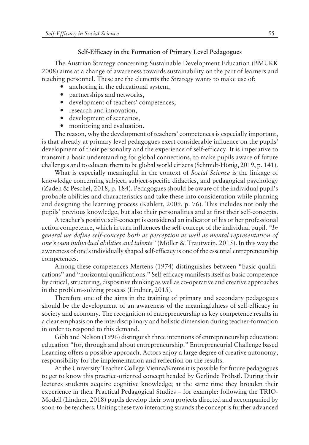#### **Self-Efficacy in the Formation of Primary Level Pedagogues**

The Austrian Strategy concerning Sustainable Development Education (BMUKK 2008) aims at a change of awareness towards sustainability on the part of learners and teaching personnel. These are the elements the Strategy wants to make use of:

- anchoring in the educational system,
- partnerships and networks,
- development of teachers' competences,
- research and innovation,
- ó development of scenarios,
- monitoring and evaluation.

The reason, why the development of teachers' competences is especially important, is that already at primary level pedagogues exert considerable influence on the pupils' development of their personality and the experience of self-efficacy. It is imperative to transmit a basic understanding for global connections, to make pupils aware of future challenges and to educate them to be global world citizens (Schmidt-Hönig, 2019, p. 141).

What is especially meaningful in the context of *Social Science* is the linkage of knowledge concerning subject, subject-specific didactics, and pedagogical psychology (Zadeh & Peschel, 2018, p. 184). Pedagogues should be aware of the individual pupilís probable abilities and characteristics and take these into consideration while planning and designing the learning process (Kahlert, 2009, p. 76). This includes not only the pupilsí previous knowledge, but also their personalities and at first their self-concepts.

A teacher's positive self-concept is considered an indicator of his or her professional action competence, which in turn influences the self-concept of the individual pupil.  $$ *general we define self-concept both as perception as well as mental representation of one's own individual abilities and talents*" (Möller & Trautwein, 2015). In this way the awareness of one's individually shaped self-efficacy is one of the essential entrepreneurship competences.

Among these competences Mertens (1974) distinguishes between "basic qualifications" and "horizontal qualifications." Self-efficacy manifests itself as basic competence by critical, structuring, dispositive thinking as well as co-operative and creative approaches in the problem-solving process (Lindner, 2015).

Therefore one of the aims in the training of primary and secondary pedagogues should be the development of an awareness of the meaningfulness of self-efficacy in society and economy. The recognition of entrepreneurship as key competence results in a clear emphasis on the interdisciplinary and holistic dimension during teacher-formation in order to respond to this demand.

Gibb and Nelson (1996) distinguish three intentions of entrepreneurship education: education "for, through and about entrepreneurship." Entrepreneurial Challenge based Learning offers a possible approach. Actors enjoy a large degree of creative autonomy, responsibility for the implementation and reflection on the results.

At the University Teacher College Vienna/Krems it is possible for future pedagogues to get to know this practice-oriented concept headed by Gerlinde Pröbstl. During their lectures students acquire cognitive knowledge; at the same time they broaden their experience in their Practical Pedagogical Studies  $-$  for example: following the TRIO-Modell (Lindner, 2018) pupils develop their own projects directed and accompanied by soon-to-be teachers. Uniting these two interacting strands the concept is further advanced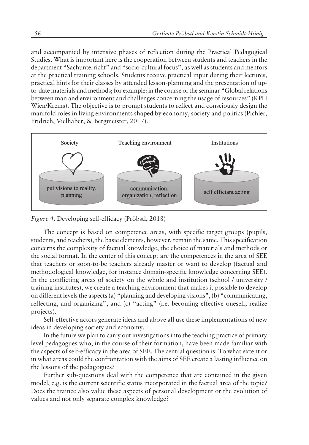and accompanied by intensive phases of reflection during the Practical Pedagogical Studies. What is important here is the cooperation between students and teachers in the department "Sachunterricht" and "socio-cultural focus", as well as students and mentors at the practical training schools. Students receive practical input during their lectures, practical hints for their classes by attended lesson-planning and the presentation of upto-date materials and methods; for example: in the course of the seminar "Global relations between man and environment and challenges concerning the usage of resources" (KPH) Wien/Krems). The objective is to prompt students to reflect and consciously design the manifold roles in living environments shaped by economy, society and politics (Pichler, Fridrich, Vielhaber, & Bergmeister, 2017).



*Figure 4. Developing self-efficacy (Pröbstl, 2018)* 

The concept is based on competence areas, with specific target groups (pupils, students, and teachers), the basic elements, however, remain the same. This specification concerns the complexity of factual knowledge, the choice of materials and methods or the social format. In the center of this concept are the competences in the area of SEE that teachers or soon-to-be teachers already master or want to develop (factual and methodological knowledge, for instance domain-specific knowledge concerning SEE). In the conflicting areas of society on the whole and institution (school / university / training institutes), we create a teaching environment that makes it possible to develop on different levels the aspects (a) "planning and developing visions", (b) "communicating, reflecting, and organizing", and (c) "acting" (i.e. becoming effective oneself, realize projects).

Self-effective actors generate ideas and above all use these implementations of new ideas in developing society and economy.

In the future we plan to carry out investigations into the teaching practice of primary level pedagogues who, in the course of their formation, have been made familiar with the aspects of self-efficacy in the area of SEE. The central question is: To what extent or in what areas could the confrontation with the aims of SEE create a lasting influence on the lessons of the pedagogues?

Further sub-questions deal with the competence that are contained in the given model, e.g. is the current scientific status incorporated in the factual area of the topic? Does the trainee also value these aspects of personal development or the evolution of values and not only separate complex knowledge?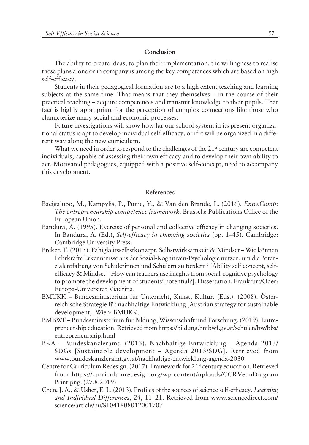## **Conclusion**

The ability to create ideas, to plan their implementation, the willingness to realise these plans alone or in company is among the key competences which are based on high self-efficacy.

Students in their pedagogical formation are to a high extent teaching and learning subjects at the same time. That means that they themselves  $-$  in the course of their practical teaching – acquire competences and transmit knowledge to their pupils. That fact is highly appropriate for the perception of complex connections like those who characterize many social and economic processes.

Future investigations will show how far our school system in its present organizational status is apt to develop individual self-efficacy, or if it will be organized in a different way along the new curriculum.

What we need in order to respond to the challenges of the  $21<sup>st</sup>$  century are competent individuals, capable of assessing their own efficacy and to develop their own ability to act. Motivated pedagogues, equipped with a positive self-concept, need to accompany this development.

#### References

- Bacigalupo, M., Kampylis, P., Punie, Y., & Van den Brande, L. (2016). *EntreComp: The entrepreneurship competence framework.* Brussels: Publications Office of the European Union.
- Bandura, A. (1995). Exercise of personal and collective efficacy in changing societies. In Bandura, A. (Ed.), *Self-efficacy in changing societies* (pp. 1–45). Cambridge: Cambridge University Press.
- Breker, T. (2015). Fähigkeitsselbstkonzept, Selbstwirksamkeit & Mindset Wie können Lehrkräfte Erkenntnisse aus der Sozial-Kognitiven-Psychologie nutzen, um die Potenzialentfaltung von Schülerinnen und Schülern zu fördern? [Ability self concept, selfefficacy  $\&$  Mindset – How can teachers use insights from social-cognitive psychology to promote the development of studentsí potential?]. Dissertation. Frankfurt/Oder: Europa-Universität Viadrina.
- BMUKK Bundesministerium für Unterricht, Kunst, Kultur. (Eds.). (2008). Österreichische Strategie für nachhaltige Entwicklung [Austrian strategy for sustainable development]. Wien: BMUKK.
- BMBWF Bundesministerium für Bildung, Wissenschaft und Forschung. (2019). Entrepreneurship education. Retrieved from https://bildung.bmbwf.gv.at/schulen/bw/bbs/ entrepreneurship.html
- $BKA$  Bundeskanzleramt. (2013). Nachhaltige Entwicklung Agenda 2013/ SDGs [Sustainable development – Agenda 2013/SDG]. Retrieved from www.bundeskanzleramt.gv.at/nachhaltige-entwicklung-agenda-2030
- Centre for Curriculum Redesign. (2017). Framework for 21<sup>st</sup> century education. Retrieved from https://curriculumredesign.org/wp-content/uploads/CCRVennDiagram Print.png. (27.8.2019)
- Chen, J. A., & Usher, E. L. (2013). Profiles of the sources of science self-efficacy. *Learning* and Individual Differences, 24, 11-21. Retrieved from www.sciencedirect.com/ science/article/pii/S1041608012001707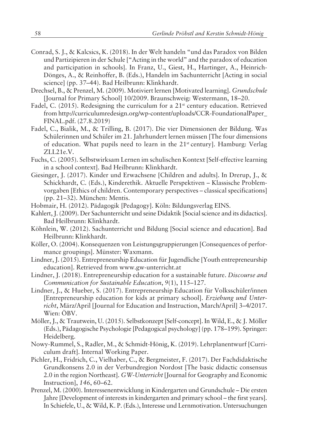- Conrad, S. J., & Kalcsics, K. (2018). In der Welt handeln "und das Paradox von Bilden und Partizipieren in der Schule ["Acting in the world" and the paradox of education and participation in schools]. In Franz, U., Giest, H., Hartinger, A., Heinrich-Dönges, A., & Reinhoffer, B. (Eds.), Handeln im Sachunterricht [Acting in social science] (pp. 37-44). Bad Heilbrunn: Klinkhardt.
- Drechsel, B., & Prenzel, M. (2009). Motiviert lernen [Motivated learning]. *Grundschule* [Journal for Primary School] 10/2009. Braunschweig: Westermann, 18-20.
- Fadel, C. (2015). Redesigning the curriculum for a  $21<sup>st</sup>$  century education. Retrieved from http://curriculumredesign.org/wp-content/uploads/CCR-FoundationalPaper\_ FINAL.pdf. (27.8.2019)
- Fadel, C., Bialik, M., & Trilling, B. (2017). Die vier Dimensionen der Bildung. Was Schülerinnen und Schüler im 21. Jahrhundert lernen müssen [The four dimensions of education. What pupils need to learn in the 21<sup>st</sup> century]. Hamburg: Verlag ZLL21e.V.
- Fuchs, C. (2005). Selbstwirksam Lernen im schulischen Kontext [Self-effective learning in a school context]. Bad Heilbrunn: Klinkhardt.
- Giesinger, J. (2017). Kinder und Erwachsene [Children and adults]. In Drerup, J., & Schickhardt, C. (Eds.), Kinderethik. Aktuelle Perspektiven – Klassische Problemvorgaben [Ethics of children. Contemporary perspectives – classical specifications]  $(pp. 21-32)$ . München: Mentis.
- Hobmair, H. (2012). Pädagogik [Pedagogy]. Köln: Bildungsverlag EINS.
- Kahlert, J. (2009). Der Sachunterricht und seine Didaktik [Social science and its didactics]. Bad Heilbrunn: Klinkhardt.
- Köhnlein, W. (2012). Sachunterricht und Bildung [Social science and education]. Bad Heilbrunn: Klinkhardt.
- Köller, O. (2004). Konsequenzen von Leistungsgruppierungen [Consequences of performance groupings]. Münster: Waxmann.
- Lindner, J. (2015). Entrepreneurship Education für Jugendliche [Youth entrepreneurship education]. Retrieved from www.gw-unterricht.at
- Lindner, J. (2018). Entrepreneurship education for a sustainable future. *Discourse and Communication for Sustainable Education,*  $9(1)$ ,  $115-127$ .
- Lindner, J., & Hueber, S. (2017). Entrepreneurship Education für Volksschüler/innen [Entrepreneurship education for kids at primary school]. *Erziehung und Unterricht*, März/April [Journal for Education and Instruction, March/April] 3-4/2017. Wien: ÖBV.
- Möller, J., & Trautwein, U. (2015). Selbstkonzept [Self-concept]. In Wild, E., & J. Möller (Eds.), Pädagogische Psychologie [Pedagogical psychology] (pp. 178–199). Springer: Heidelberg.
- Nowy-Rummel, S., Radler, M., & Schmidt-Hˆnig, K. (2019). Lehrplanentwurf [Curriculum draft]. Internal Working Paper.
- Pichler, H., Fridrich, C., Vielhaber, C., & Bergmeister, F. (2017). Der Fachdidaktische Grundkonsens 2.0 in der Verbundregion Nordost [The basic didactic consensus 2.0 in the region Northeast]. *GW-Unterricht* [Journal for Geography and Economic Instruction], 146, 60-62.
- Prenzel, M. (2000). Interessenentwicklung in Kindergarten und Grundschule Die ersten Jahre [Development of interests in kindergarten and primary school – the first years]. In Schiefele, U., & Wild, K. P. (Eds.), Interesse und Lernmotivation. Untersuchungen